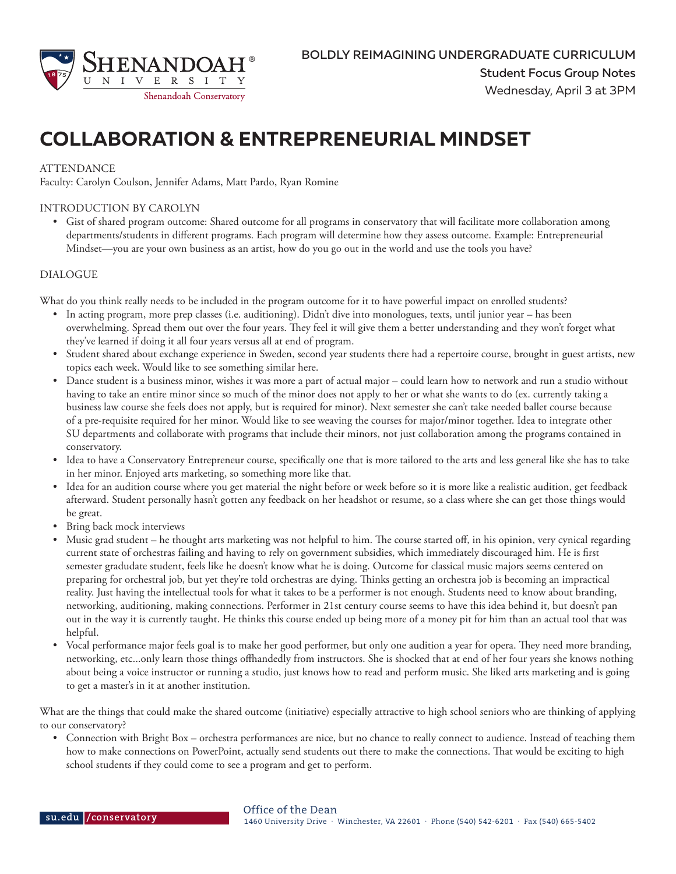

# **COLLABORATION & ENTREPRENEURIAL MINDSET**

#### **ATTENDANCE**

Faculty: Carolyn Coulson, Jennifer Adams, Matt Pardo, Ryan Romine

### INTRODUCTION BY CAROLYN

• Gist of shared program outcome: Shared outcome for all programs in conservatory that will facilitate more collaboration among departments/students in different programs. Each program will determine how they assess outcome. Example: Entrepreneurial Mindset—you are your own business as an artist, how do you go out in the world and use the tools you have?

#### DIALOGUE

What do you think really needs to be included in the program outcome for it to have powerful impact on enrolled students?

- In acting program, more prep classes (i.e. auditioning). Didn't dive into monologues, texts, until junior year has been overwhelming. Spread them out over the four years. They feel it will give them a better understanding and they won't forget what they've learned if doing it all four years versus all at end of program.
- Student shared about exchange experience in Sweden, second year students there had a repertoire course, brought in guest artists, new topics each week. Would like to see something similar here.
- Dance student is a business minor, wishes it was more a part of actual major could learn how to network and run a studio without having to take an entire minor since so much of the minor does not apply to her or what she wants to do (ex. currently taking a business law course she feels does not apply, but is required for minor). Next semester she can't take needed ballet course because of a pre-requisite required for her minor. Would like to see weaving the courses for major/minor together. Idea to integrate other SU departments and collaborate with programs that include their minors, not just collaboration among the programs contained in conservatory.
- Idea to have a Conservatory Entrepreneur course, specifically one that is more tailored to the arts and less general like she has to take in her minor. Enjoyed arts marketing, so something more like that.
- Idea for an audition course where you get material the night before or week before so it is more like a realistic audition, get feedback afterward. Student personally hasn't gotten any feedback on her headshot or resume, so a class where she can get those things would be great.
- Bring back mock interviews
- Music grad student he thought arts marketing was not helpful to him. The course started off, in his opinion, very cynical regarding current state of orchestras failing and having to rely on government subsidies, which immediately discouraged him. He is first semester gradudate student, feels like he doesn't know what he is doing. Outcome for classical music majors seems centered on preparing for orchestral job, but yet they're told orchestras are dying. Thinks getting an orchestra job is becoming an impractical reality. Just having the intellectual tools for what it takes to be a performer is not enough. Students need to know about branding, networking, auditioning, making connections. Performer in 21st century course seems to have this idea behind it, but doesn't pan out in the way it is currently taught. He thinks this course ended up being more of a money pit for him than an actual tool that was helpful.
- Vocal performance major feels goal is to make her good performer, but only one audition a year for opera. They need more branding, networking, etc...only learn those things offhandedly from instructors. She is shocked that at end of her four years she knows nothing about being a voice instructor or running a studio, just knows how to read and perform music. She liked arts marketing and is going to get a master's in it at another institution.

What are the things that could make the shared outcome (initiative) especially attractive to high school seniors who are thinking of applying to our conservatory?

• Connection with Bright Box – orchestra performances are nice, but no chance to really connect to audience. Instead of teaching them how to make connections on PowerPoint, actually send students out there to make the connections. That would be exciting to high school students if they could come to see a program and get to perform.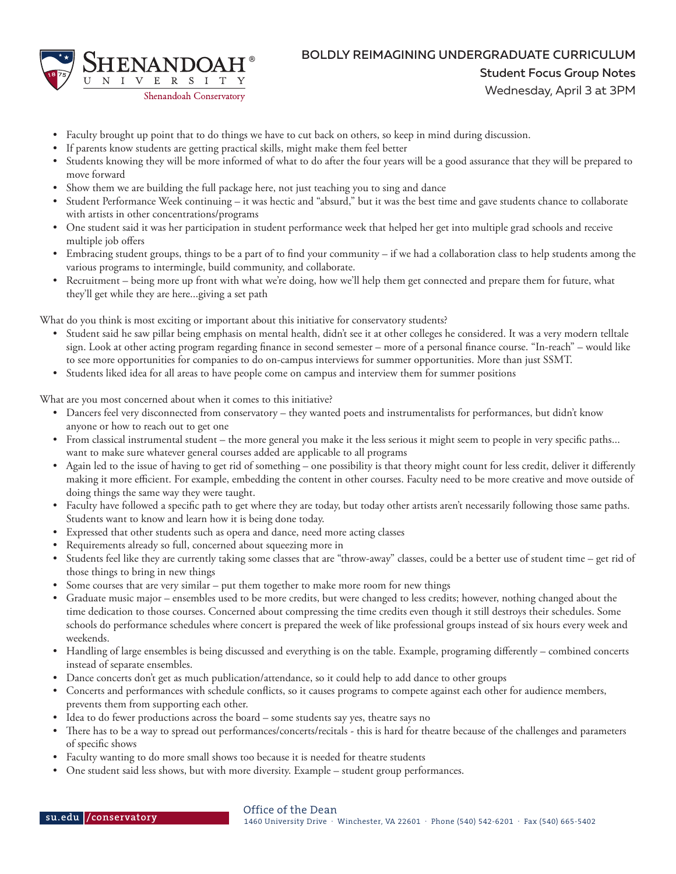

## BOLDLY REIMAGINING UNDERGRADUATE CURRICULUM Student Focus Group Notes

- Wednesday, April 3 at 3PM
- Faculty brought up point that to do things we have to cut back on others, so keep in mind during discussion.
- If parents know students are getting practical skills, might make them feel better
- Students knowing they will be more informed of what to do after the four years will be a good assurance that they will be prepared to move forward
- Show them we are building the full package here, not just teaching you to sing and dance
- Student Performance Week continuing it was hectic and "absurd," but it was the best time and gave students chance to collaborate with artists in other concentrations/programs
- One student said it was her participation in student performance week that helped her get into multiple grad schools and receive multiple job offers
- Embracing student groups, things to be a part of to find your community if we had a collaboration class to help students among the various programs to intermingle, build community, and collaborate.
- Recruitment being more up front with what we're doing, how we'll help them get connected and prepare them for future, what they'll get while they are here...giving a set path

What do you think is most exciting or important about this initiative for conservatory students?

- Student said he saw pillar being emphasis on mental health, didn't see it at other colleges he considered. It was a very modern telltale sign. Look at other acting program regarding finance in second semester – more of a personal finance course. "In-reach" – would like to see more opportunities for companies to do on-campus interviews for summer opportunities. More than just SSMT.
- Students liked idea for all areas to have people come on campus and interview them for summer positions

What are you most concerned about when it comes to this initiative?

- Dancers feel very disconnected from conservatory they wanted poets and instrumentalists for performances, but didn't know anyone or how to reach out to get one
- From classical instrumental student the more general you make it the less serious it might seem to people in very specific paths... want to make sure whatever general courses added are applicable to all programs
- Again led to the issue of having to get rid of something one possibility is that theory might count for less credit, deliver it differently making it more efficient. For example, embedding the content in other courses. Faculty need to be more creative and move outside of doing things the same way they were taught.
- Faculty have followed a specific path to get where they are today, but today other artists aren't necessarily following those same paths. Students want to know and learn how it is being done today.
- Expressed that other students such as opera and dance, need more acting classes
- Requirements already so full, concerned about squeezing more in
- Students feel like they are currently taking some classes that are "throw-away" classes, could be a better use of student time get rid of those things to bring in new things
- Some courses that are very similar put them together to make more room for new things
- Graduate music major ensembles used to be more credits, but were changed to less credits; however, nothing changed about the time dedication to those courses. Concerned about compressing the time credits even though it still destroys their schedules. Some schools do performance schedules where concert is prepared the week of like professional groups instead of six hours every week and weekends.
- Handling of large ensembles is being discussed and everything is on the table. Example, programing differently combined concerts instead of separate ensembles.
- Dance concerts don't get as much publication/attendance, so it could help to add dance to other groups
- Concerts and performances with schedule conflicts, so it causes programs to compete against each other for audience members, prevents them from supporting each other.
- Idea to do fewer productions across the board some students say yes, theatre says no
- There has to be a way to spread out performances/concerts/recitals this is hard for theatre because of the challenges and parameters of specific shows
- Faculty wanting to do more small shows too because it is needed for theatre students
- One student said less shows, but with more diversity. Example student group performances.